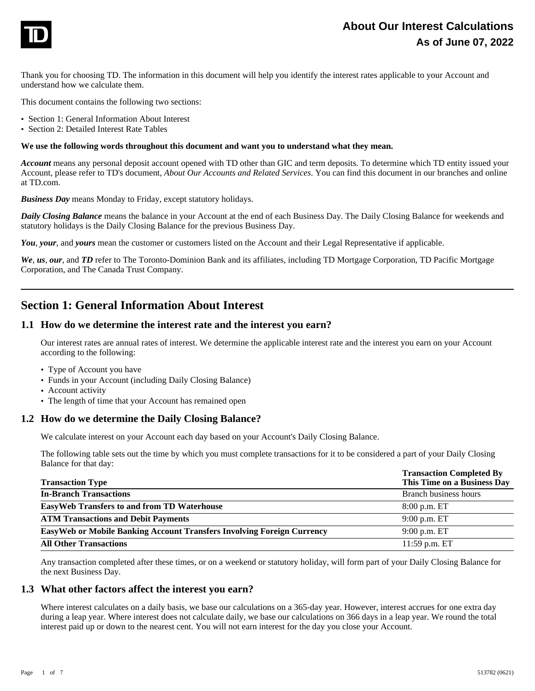

Thank you for choosing TD. The information in this document will help you identify the interest rates applicable to your Account and understand how we calculate them.

This document contains the following two sections:

- **·** Section 1: General Information About Interest
- **·** Section 2: Detailed Interest Rate Tables

#### **We use the following words throughout this document and want you to understand what they mean.**

*Account* means any personal deposit account opened with TD other than GIC and term deposits. To determine which TD entity issued your Account, please refer to TD's document, *About Our Accounts and Related Services*. You can find this document in our branches and online at TD.com.

*Business Day* means Monday to Friday, except statutory holidays.

*Daily Closing Balance* means the balance in your Account at the end of each Business Day. The Daily Closing Balance for weekends and statutory holidays is the Daily Closing Balance for the previous Business Day.

*You*, *your*, and *yours* mean the customer or customers listed on the Account and their Legal Representative if applicable.

*We*, *us*, *our*, and *TD* refer to The Toronto-Dominion Bank and its affiliates, including TD Mortgage Corporation, TD Pacific Mortgage Corporation, and The Canada Trust Company.

# **Section 1: General Information About Interest**

#### **1.1 How do we determine the interest rate and the interest you earn?**

Our interest rates are annual rates of interest. We determine the applicable interest rate and the interest you earn on your Account according to the following:

- **·** Type of Account you have
- **·** Funds in your Account (including Daily Closing Balance)
- **·** Account activity
- **·** The length of time that your Account has remained open

#### **1.2 How do we determine the Daily Closing Balance?**

We calculate interest on your Account each day based on your Account's Daily Closing Balance.

The following table sets out the time by which you must complete transactions for it to be considered a part of your Daily Closing Balance for that day:

| <b>Transaction Type</b>                                                       | <b>Transaction Completed By</b><br>This Time on a Business Day |
|-------------------------------------------------------------------------------|----------------------------------------------------------------|
| <b>In-Branch Transactions</b>                                                 | Branch business hours                                          |
| <b>EasyWeb Transfers to and from TD Waterhouse</b>                            | 8:00 p.m. ET                                                   |
| <b>ATM Transactions and Debit Payments</b>                                    | $9:00$ p.m. ET                                                 |
| <b>EasyWeb or Mobile Banking Account Transfers Involving Foreign Currency</b> | 9:00 p.m. ET                                                   |
| <b>All Other Transactions</b>                                                 | 11:59 p.m. ET                                                  |

Any transaction completed after these times, or on a weekend or statutory holiday, will form part of your Daily Closing Balance for the next Business Day.

### **1.3 What other factors affect the interest you earn?**

Where interest calculates on a daily basis, we base our calculations on a 365-day year. However, interest accrues for one extra day during a leap year. Where interest does not calculate daily, we base our calculations on 366 days in a leap year. We round the total interest paid up or down to the nearest cent. You will not earn interest for the day you close your Account.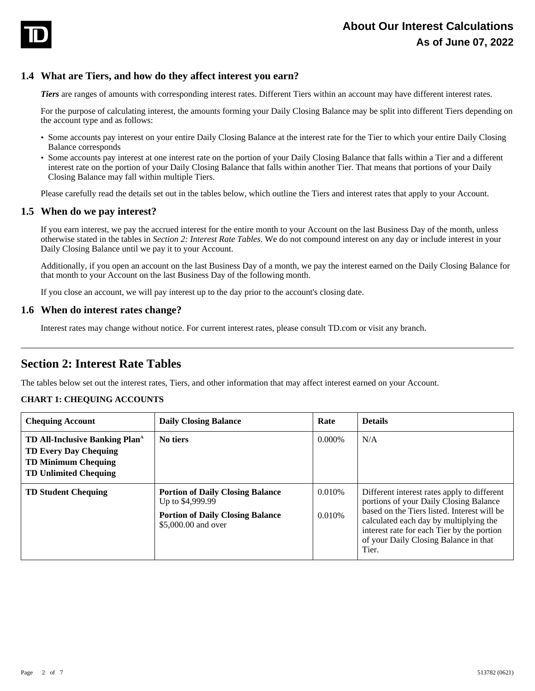

## **1.4 What are Tiers, and how do they affect interest you earn?**

*Tiers* are ranges of amounts with corresponding interest rates. Different Tiers within an account may have different interest rates.

For the purpose of calculating interest, the amounts forming your Daily Closing Balance may be split into different Tiers depending on the account type and as follows:

- **·** Some accounts pay interest on your entire Daily Closing Balance at the interest rate for the Tier to which your entire Daily Closing Balance corresponds
- **·** Some accounts pay interest at one interest rate on the portion of your Daily Closing Balance that falls within a Tier and a different interest rate on the portion of your Daily Closing Balance that falls within another Tier. That means that portions of your Daily Closing Balance may fall within multiple Tiers.

Please carefully read the details set out in the tables below, which outline the Tiers and interest rates that apply to your Account.

## **1.5 When do we pay interest?**

If you earn interest, we pay the accrued interest for the entire month to your Account on the last Business Day of the month, unless otherwise stated in the tables in *Section 2: Interest Rate Tables*. We do not compound interest on any day or include interest in your Daily Closing Balance until we pay it to your Account.

Additionally, if you open an account on the last Business Day of a month, we pay the interest earned on the Daily Closing Balance for that month to your Account on the last Business Day of the following month.

If you close an account, we will pay interest up to the day prior to the account's closing date.

### **1.6 When do interest rates change?**

Interest rates may change without notice. For current interest rates, please consult TD.com or visit any branch.

# **Section 2: Interest Rate Tables**

The tables below set out the interest rates, Tiers, and other information that may affect interest earned on your Account.

#### **CHART 1: CHEQUING ACCOUNTS**

| <b>Chequing Account</b>                                                                                                                         | <b>Daily Closing Balance</b>                                                                                                  | Rate             | <b>Details</b>                                                                                                                                                                                                                                                                 |
|-------------------------------------------------------------------------------------------------------------------------------------------------|-------------------------------------------------------------------------------------------------------------------------------|------------------|--------------------------------------------------------------------------------------------------------------------------------------------------------------------------------------------------------------------------------------------------------------------------------|
| <b>TD All-Inclusive Banking Plan</b> <sup>4</sup><br><b>TD Every Day Chequing</b><br><b>TD Minimum Chequing</b><br><b>TD Unlimited Chequing</b> | No tiers                                                                                                                      | $0.000\%$        | N/A                                                                                                                                                                                                                                                                            |
| <b>TD Student Chequing</b>                                                                                                                      | <b>Portion of Daily Closing Balance</b><br>Up to \$4,999.99<br><b>Portion of Daily Closing Balance</b><br>\$5,000.00 and over | 0.010%<br>0.010% | Different interest rates apply to different<br>portions of your Daily Closing Balance<br>based on the Tiers listed. Interest will be<br>calculated each day by multiplying the<br>interest rate for each Tier by the portion<br>of your Daily Closing Balance in that<br>Tier. |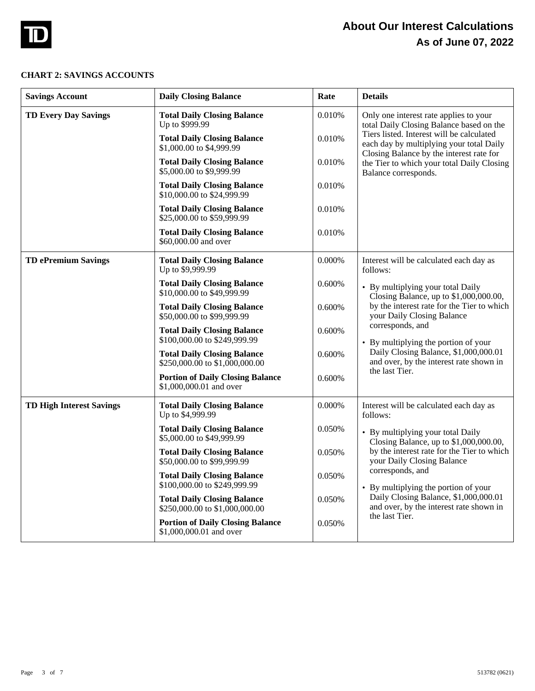

# **About Our Interest Calculations As of June 07, 2022**

#### **CHART 2: SAVINGS ACCOUNTS**

| <b>Savings Account</b>          | <b>Daily Closing Balance</b>                                         | Rate   | <b>Details</b>                                                                                                                                          |
|---------------------------------|----------------------------------------------------------------------|--------|---------------------------------------------------------------------------------------------------------------------------------------------------------|
| <b>TD Every Day Savings</b>     | <b>Total Daily Closing Balance</b><br>Up to \$999.99                 | 0.010% | Only one interest rate applies to your<br>total Daily Closing Balance based on the                                                                      |
|                                 | <b>Total Daily Closing Balance</b><br>\$1,000.00 to \$4,999.99       | 0.010% | Tiers listed. Interest will be calculated<br>each day by multiplying your total Daily<br>Closing Balance by the interest rate for                       |
|                                 | <b>Total Daily Closing Balance</b><br>\$5,000.00 to \$9,999.99       | 0.010% | the Tier to which your total Daily Closing<br>Balance corresponds.                                                                                      |
|                                 | <b>Total Daily Closing Balance</b><br>\$10,000.00 to \$24,999.99     | 0.010% |                                                                                                                                                         |
|                                 | <b>Total Daily Closing Balance</b><br>\$25,000.00 to \$59,999.99     | 0.010% |                                                                                                                                                         |
|                                 | <b>Total Daily Closing Balance</b><br>\$60,000.00 and over           | 0.010% |                                                                                                                                                         |
| <b>TD ePremium Savings</b>      | <b>Total Daily Closing Balance</b><br>Up to \$9,999.99               | 0.000% | Interest will be calculated each day as<br>follows:                                                                                                     |
|                                 | <b>Total Daily Closing Balance</b><br>\$10,000.00 to \$49,999.99     | 0.600% | • By multiplying your total Daily<br>Closing Balance, up to \$1,000,000.00,                                                                             |
|                                 | <b>Total Daily Closing Balance</b><br>\$50,000.00 to \$99,999.99     | 0.600% | by the interest rate for the Tier to which<br>your Daily Closing Balance                                                                                |
|                                 | <b>Total Daily Closing Balance</b><br>\$100,000.00 to \$249,999.99   | 0.600% | corresponds, and<br>• By multiplying the portion of your                                                                                                |
|                                 | <b>Total Daily Closing Balance</b><br>\$250,000.00 to \$1,000,000.00 | 0.600% | Daily Closing Balance, \$1,000,000.01<br>and over, by the interest rate shown in<br>the last Tier.                                                      |
|                                 | <b>Portion of Daily Closing Balance</b><br>\$1,000,000.01 and over   | 0.600% |                                                                                                                                                         |
| <b>TD High Interest Savings</b> | <b>Total Daily Closing Balance</b><br>Up to \$4,999.99               | 0.000% | Interest will be calculated each day as<br>follows:                                                                                                     |
|                                 | <b>Total Daily Closing Balance</b><br>\$5,000.00 to \$49,999.99      | 0.050% | • By multiplying your total Daily<br>Closing Balance, up to \$1,000,000.00,<br>by the interest rate for the Tier to which<br>your Daily Closing Balance |
|                                 | <b>Total Daily Closing Balance</b><br>\$50,000.00 to \$99,999.99     | 0.050% |                                                                                                                                                         |
|                                 | <b>Total Daily Closing Balance</b><br>\$100,000.00 to \$249,999.99   | 0.050% | corresponds, and<br>• By multiplying the portion of your                                                                                                |
|                                 | <b>Total Daily Closing Balance</b><br>\$250,000.00 to \$1,000,000.00 | 0.050% | Daily Closing Balance, \$1,000,000.01<br>and over, by the interest rate shown in<br>the last Tier.                                                      |
|                                 | <b>Portion of Daily Closing Balance</b><br>\$1,000,000.01 and over   | 0.050% |                                                                                                                                                         |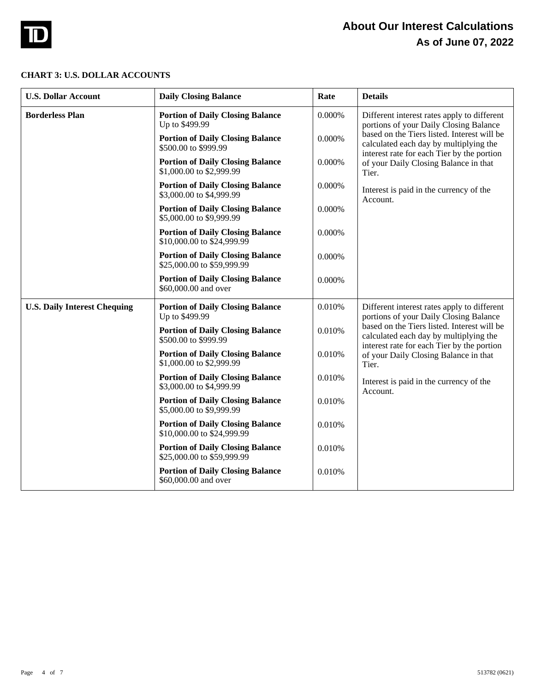

#### **CHART 3: U.S. DOLLAR ACCOUNTS**

| <b>U.S. Dollar Account</b>          | <b>Daily Closing Balance</b>                                          | Rate   | <b>Details</b>                                                                                                                      |
|-------------------------------------|-----------------------------------------------------------------------|--------|-------------------------------------------------------------------------------------------------------------------------------------|
| <b>Borderless Plan</b>              | <b>Portion of Daily Closing Balance</b><br>Up to \$499.99             | 0.000% | Different interest rates apply to different<br>portions of your Daily Closing Balance                                               |
|                                     | <b>Portion of Daily Closing Balance</b><br>\$500.00 to \$999.99       | 0.000% | based on the Tiers listed. Interest will be<br>calculated each day by multiplying the<br>interest rate for each Tier by the portion |
|                                     | <b>Portion of Daily Closing Balance</b><br>\$1,000.00 to \$2,999.99   | 0.000% | of your Daily Closing Balance in that<br>Tier.                                                                                      |
|                                     | <b>Portion of Daily Closing Balance</b><br>\$3,000.00 to \$4,999.99   | 0.000% | Interest is paid in the currency of the<br>Account.                                                                                 |
|                                     | <b>Portion of Daily Closing Balance</b><br>\$5,000.00 to \$9,999.99   | 0.000% |                                                                                                                                     |
|                                     | <b>Portion of Daily Closing Balance</b><br>\$10,000.00 to \$24,999.99 | 0.000% |                                                                                                                                     |
|                                     | <b>Portion of Daily Closing Balance</b><br>\$25,000.00 to \$59,999.99 | 0.000% |                                                                                                                                     |
|                                     | <b>Portion of Daily Closing Balance</b><br>\$60,000.00 and over       | 0.000% |                                                                                                                                     |
| <b>U.S. Daily Interest Chequing</b> | <b>Portion of Daily Closing Balance</b><br>Up to \$499.99             | 0.010% | Different interest rates apply to different<br>portions of your Daily Closing Balance                                               |
|                                     | <b>Portion of Daily Closing Balance</b><br>\$500.00 to \$999.99       | 0.010% | based on the Tiers listed. Interest will be<br>calculated each day by multiplying the<br>interest rate for each Tier by the portion |
|                                     | <b>Portion of Daily Closing Balance</b><br>\$1,000.00 to \$2,999.99   | 0.010% | of your Daily Closing Balance in that<br>Tier.<br>Interest is paid in the currency of the<br>Account.                               |
|                                     | <b>Portion of Daily Closing Balance</b><br>\$3,000.00 to \$4,999.99   | 0.010% |                                                                                                                                     |
|                                     | <b>Portion of Daily Closing Balance</b><br>\$5,000.00 to \$9,999.99   | 0.010% |                                                                                                                                     |
|                                     | <b>Portion of Daily Closing Balance</b><br>\$10,000.00 to \$24,999.99 | 0.010% |                                                                                                                                     |
|                                     | <b>Portion of Daily Closing Balance</b><br>\$25,000.00 to \$59,999.99 | 0.010% |                                                                                                                                     |
|                                     | <b>Portion of Daily Closing Balance</b><br>\$60,000.00 and over       | 0.010% |                                                                                                                                     |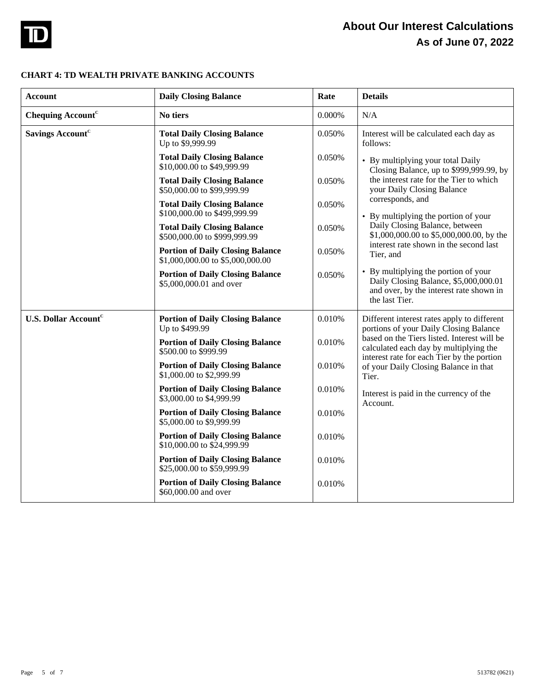

# **About Our Interest Calculations As of June 07, 2022**

## **CHART 4: TD WEALTH PRIVATE BANKING ACCOUNTS**

| <b>Account</b>                         | <b>Daily Closing Balance</b>                                                | Rate   | <b>Details</b>                                                                                                                             |
|----------------------------------------|-----------------------------------------------------------------------------|--------|--------------------------------------------------------------------------------------------------------------------------------------------|
| Chequing Account <sup>c</sup>          | No tiers                                                                    | 0.000% | N/A                                                                                                                                        |
| <b>Savings Account<sup>c</sup></b>     | <b>Total Daily Closing Balance</b><br>Up to \$9,999.99                      | 0.050% | Interest will be calculated each day as<br>follows:                                                                                        |
|                                        | <b>Total Daily Closing Balance</b><br>\$10,000.00 to \$49,999.99            | 0.050% | • By multiplying your total Daily<br>Closing Balance, up to \$999,999.99, by                                                               |
|                                        | <b>Total Daily Closing Balance</b><br>\$50,000.00 to \$99,999.99            | 0.050% | the interest rate for the Tier to which<br>your Daily Closing Balance                                                                      |
|                                        | <b>Total Daily Closing Balance</b><br>\$100,000.00 to \$499,999.99          | 0.050% | corresponds, and<br>• By multiplying the portion of your                                                                                   |
|                                        | <b>Total Daily Closing Balance</b><br>\$500,000.00 to \$999,999.99          | 0.050% | Daily Closing Balance, between<br>\$1,000,000.00 to \$5,000,000.00, by the<br>interest rate shown in the second last                       |
|                                        | <b>Portion of Daily Closing Balance</b><br>\$1,000,000.00 to \$5,000,000.00 | 0.050% | Tier, and                                                                                                                                  |
|                                        | <b>Portion of Daily Closing Balance</b><br>\$5,000,000.01 and over          | 0.050% | • By multiplying the portion of your<br>Daily Closing Balance, \$5,000,000.01<br>and over, by the interest rate shown in<br>the last Tier. |
| <b>U.S. Dollar Account<sup>c</sup></b> | <b>Portion of Daily Closing Balance</b><br>Up to \$499.99                   | 0.010% | Different interest rates apply to different<br>portions of your Daily Closing Balance                                                      |
|                                        | <b>Portion of Daily Closing Balance</b><br>\$500.00 to \$999.99             | 0.010% | based on the Tiers listed. Interest will be<br>calculated each day by multiplying the<br>interest rate for each Tier by the portion        |
|                                        | <b>Portion of Daily Closing Balance</b><br>\$1,000.00 to \$2,999.99         | 0.010% | of your Daily Closing Balance in that<br>Tier.<br>Interest is paid in the currency of the<br>Account.                                      |
|                                        | <b>Portion of Daily Closing Balance</b><br>\$3,000.00 to \$4,999.99         | 0.010% |                                                                                                                                            |
|                                        | <b>Portion of Daily Closing Balance</b><br>\$5,000.00 to \$9,999.99         | 0.010% |                                                                                                                                            |
|                                        | <b>Portion of Daily Closing Balance</b><br>\$10,000.00 to \$24,999.99       | 0.010% |                                                                                                                                            |
|                                        | <b>Portion of Daily Closing Balance</b><br>\$25,000.00 to \$59,999.99       | 0.010% |                                                                                                                                            |
|                                        | <b>Portion of Daily Closing Balance</b><br>\$60,000.00 and over             | 0.010% |                                                                                                                                            |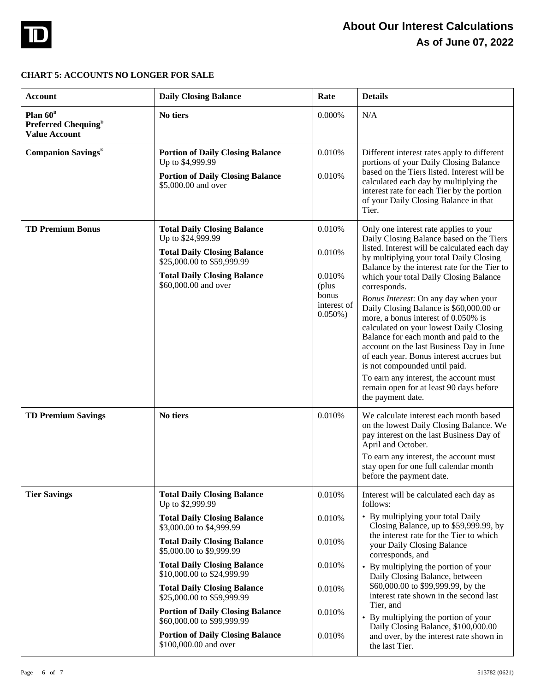

# **CHART 5: ACCOUNTS NO LONGER FOR SALE**

| <b>Account</b>                                                                  | <b>Daily Closing Balance</b>                                                                                                                                                                                                                                                                                                       | Rate                                                                      | <b>Details</b>                                                                                                                                                                                                                                                                                                                                                                                                                                                                                                                                                                                                                                                                                                                            |
|---------------------------------------------------------------------------------|------------------------------------------------------------------------------------------------------------------------------------------------------------------------------------------------------------------------------------------------------------------------------------------------------------------------------------|---------------------------------------------------------------------------|-------------------------------------------------------------------------------------------------------------------------------------------------------------------------------------------------------------------------------------------------------------------------------------------------------------------------------------------------------------------------------------------------------------------------------------------------------------------------------------------------------------------------------------------------------------------------------------------------------------------------------------------------------------------------------------------------------------------------------------------|
| Plan $60^{\text{B}}$<br>Preferred Chequing <sup>D</sup><br><b>Value Account</b> | No tiers                                                                                                                                                                                                                                                                                                                           | 0.000%                                                                    | N/A                                                                                                                                                                                                                                                                                                                                                                                                                                                                                                                                                                                                                                                                                                                                       |
| <b>Companion Savings®</b>                                                       | <b>Portion of Daily Closing Balance</b><br>Up to \$4,999.99<br><b>Portion of Daily Closing Balance</b><br>\$5,000.00 and over                                                                                                                                                                                                      | 0.010%<br>0.010%                                                          | Different interest rates apply to different<br>portions of your Daily Closing Balance<br>based on the Tiers listed. Interest will be<br>calculated each day by multiplying the<br>interest rate for each Tier by the portion<br>of your Daily Closing Balance in that<br>Tier.                                                                                                                                                                                                                                                                                                                                                                                                                                                            |
| <b>TD Premium Bonus</b>                                                         | <b>Total Daily Closing Balance</b><br>Up to \$24,999.99<br><b>Total Daily Closing Balance</b><br>\$25,000.00 to \$59,999.99<br><b>Total Daily Closing Balance</b><br>\$60,000.00 and over                                                                                                                                          | 0.010%<br>0.010%<br>0.010%<br>(plus<br>bonus<br>interest of<br>$0.050\%)$ | Only one interest rate applies to your<br>Daily Closing Balance based on the Tiers<br>listed. Interest will be calculated each day<br>by multiplying your total Daily Closing<br>Balance by the interest rate for the Tier to<br>which your total Daily Closing Balance<br>corresponds.<br>Bonus Interest: On any day when your<br>Daily Closing Balance is \$60,000.00 or<br>more, a bonus interest of 0.050% is<br>calculated on your lowest Daily Closing<br>Balance for each month and paid to the<br>account on the last Business Day in June<br>of each year. Bonus interest accrues but<br>is not compounded until paid.<br>To earn any interest, the account must<br>remain open for at least 90 days before<br>the payment date. |
| <b>TD Premium Savings</b>                                                       | No tiers                                                                                                                                                                                                                                                                                                                           | 0.010%                                                                    | We calculate interest each month based<br>on the lowest Daily Closing Balance. We<br>pay interest on the last Business Day of<br>April and October.<br>To earn any interest, the account must<br>stay open for one full calendar month<br>before the payment date.                                                                                                                                                                                                                                                                                                                                                                                                                                                                        |
| <b>Tier Savings</b>                                                             | <b>Total Daily Closing Balance</b><br>Up to \$2,999.99<br><b>Total Daily Closing Balance</b><br>\$3,000.00 to \$4,999.99<br><b>Total Daily Closing Balance</b><br>\$5,000.00 to \$9,999.99<br><b>Total Daily Closing Balance</b><br>\$10,000.00 to \$24,999.99<br><b>Total Daily Closing Balance</b><br>\$25,000.00 to \$59,999.99 | 0.010%<br>0.010%<br>0.010%<br>0.010%<br>0.010%                            | Interest will be calculated each day as<br>follows:<br>• By multiplying your total Daily<br>Closing Balance, up to \$59,999.99, by<br>the interest rate for the Tier to which<br>your Daily Closing Balance<br>corresponds, and<br>• By multiplying the portion of your<br>Daily Closing Balance, between<br>\$60,000.00 to \$99,999.99, by the<br>interest rate shown in the second last<br>Tier, and                                                                                                                                                                                                                                                                                                                                    |
|                                                                                 | <b>Portion of Daily Closing Balance</b><br>\$60,000.00 to \$99,999.99<br><b>Portion of Daily Closing Balance</b><br>\$100,000.00 and over                                                                                                                                                                                          | 0.010%<br>0.010%                                                          | • By multiplying the portion of your<br>Daily Closing Balance, \$100,000.00<br>and over, by the interest rate shown in<br>the last Tier.                                                                                                                                                                                                                                                                                                                                                                                                                                                                                                                                                                                                  |